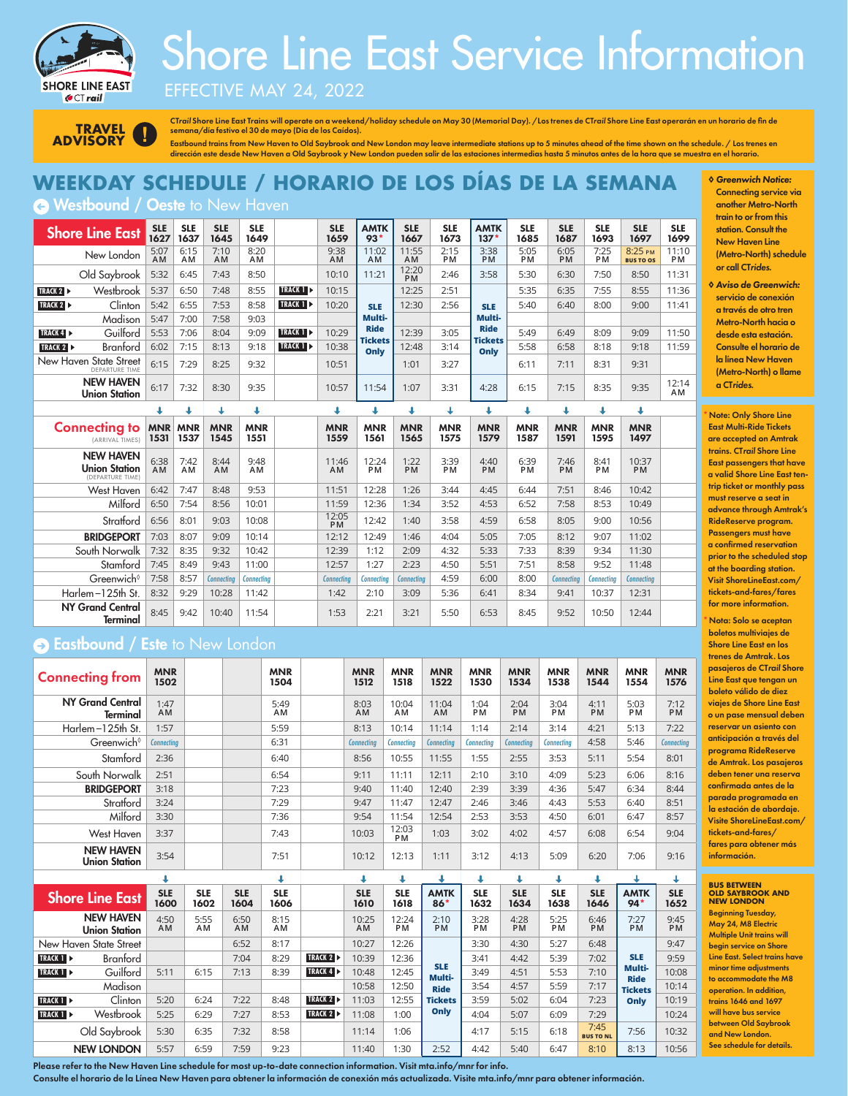

# Shore Line East Service Information

EFFECTIVE MAY 24, 2022

**TRAVEL ADVISORY**

CT*rail* Shore Line East Trains will operate on a weekend/holiday schedule on May 30 (Memorial Day). /Los trenes de CT*rail* Shore Line East operarán en un horario de fin de semana/día festivo el 30 de mayo (Día de los Caídos).

Eastbound trains from New Haven to Old Saybrook and New London may leave intermediate stations up to 5 minutes ahead of the time shown on the schedule. / Los trenes en dirección este desde New Haven a Old Saybrook y New London pueden salir de las estaciones intermedias hasta 5 minutos antes de la hora que se muestra en el horario.

## **WEEKDAY SCHEDULE / HORARIO DE LOS DÍAS DE LA SEMANA**

| <b>3 Westbound / Oeste</b> to New Haven     |                    |                    |                    |                      |         |                    |                               |                    |                      |                               |                      |                    |                    |                             |                    |
|---------------------------------------------|--------------------|--------------------|--------------------|----------------------|---------|--------------------|-------------------------------|--------------------|----------------------|-------------------------------|----------------------|--------------------|--------------------|-----------------------------|--------------------|
| <b>Shore Line East</b>                      | <b>SLE</b><br>1627 | <b>SLE</b><br>1637 | <b>SLE</b><br>1645 | <b>SLE</b><br>1649   |         | <b>SLE</b><br>1659 | <b>AMTK</b><br>$93*$          | <b>SLE</b><br>1667 | <b>SLE</b><br>1673   | <b>AMTK</b><br>$137*$         | <b>SLE</b><br>1685   | <b>SLE</b><br>1687 | <b>SLE</b><br>1693 | <b>SLE</b><br>1697          | <b>SLE</b><br>1699 |
| New London                                  | 5:07<br>AM         | 6:15<br>AM         | 7:10<br><b>AM</b>  | 8:20<br>AM           |         | 9:38<br>AM         | 11:02<br><b>AM</b>            | 11:55<br><b>AM</b> | 2:15<br><b>PM</b>    | 3:38<br><b>PM</b>             | 5:05<br><b>PM</b>    | 6:05<br><b>PM</b>  | 7:25<br><b>PM</b>  | 8:25 PM<br><b>BUS TO OS</b> | 11:10<br><b>PM</b> |
| Old Saybrook                                | 5:32               | 6:45               | 7:43               | 8:50                 |         | 10:10              | 11:21                         | 12:20<br><b>PM</b> | 2:46                 | 3:58                          | 5:30                 | 6:30               | 7:50               | 8:50                        | 11:31              |
| Westbrook<br>TRACK $2 >$                    | 5:37               | 6:50               | 7:48               | 8:55                 | TRACK 1 | 10:15              |                               | 12:25              | 2:51                 |                               | 5:35                 | 6:35               | 7:55               | 8:55                        | 11:36              |
| Clinton<br>TRACK 2                          | 5:42               | 6:55               | 7:53               | 8:58                 | TRACK 1 | 10:20              | <b>SLE</b>                    | 12:30              | 2:56                 | <b>SLE</b>                    | 5:40                 | 6:40               | 8:00               | 9:00                        | 11:41              |
| Madison                                     | 5:47               | 7:00               | 7:58               | 9:03                 |         |                    | Multi-                        |                    |                      | Multi-                        |                      |                    |                    |                             |                    |
| Guilford<br>TRACK 4                         | 5:53               | 7:06               | 8:04               | 9:09                 | TRACK 1 | 10:29              | <b>Ride</b><br><b>Tickets</b> | 12:39              | 3:05                 | <b>Ride</b><br><b>Tickets</b> | 5:49                 | 6:49               | 8:09               | 9:09                        | 11:50              |
| Branford<br>TRACK 2 >                       | 6:02               | 7:15               | 8:13               | 9:18                 | TRACK 1 | 10:38              | Only                          | 12:48              | 3:14                 | Only                          | 5:58                 | 6:58               | 8:18               | 9:18                        | 11:59              |
| New Haven State Street<br>DEPARTURE TIME    | 6:15               | 7:29               | 8:25               | 9:32                 |         | 10:51              |                               | 1:01               | 3:27                 |                               | 6:11                 | 7:11               | 8:31               | 9:31                        |                    |
| <b>NEW HAVEN</b><br><b>Union Station</b>    | 6:17               | 7:32               | 8:30               | 9:35                 |         | 10:57              | 11:54                         | 1:07               | 3:31                 | 4:28                          | 6:15                 | 7:15               | 8:35               | 9:35                        | 12:14<br>AM        |
|                                             | ÷                  | ŧ                  | ÷                  | $\ddot{\phantom{0}}$ |         | ÷                  | $\ddot{\phantom{0}}$          | ↓                  | $\ddot{\phantom{1}}$ | $\ddot{\phantom{0}}$          | $\ddot{\phantom{1}}$ | ŧ                  | ↓                  | ŧ                           |                    |
| <b>Connecting to</b><br>(ARRIVAL TIMES)     | <b>MNR</b><br>1531 | <b>MNR</b><br>1537 | <b>MNR</b><br>1545 | <b>MNR</b><br>1551   |         | <b>MNR</b><br>1559 | <b>MNR</b><br>1561            | <b>MNR</b><br>1565 | <b>MNR</b><br>1575   | <b>MNR</b><br>1579            | <b>MNR</b><br>1587   | <b>MNR</b><br>1591 | <b>MNR</b><br>1595 | <b>MNR</b><br>1497          |                    |
|                                             |                    |                    |                    |                      |         |                    |                               |                    |                      |                               |                      |                    |                    |                             |                    |
| <b>NEW HAVEN</b><br><b>Union Station</b>    | 6:38<br>AM         | 7:42<br>AM         | 8:44<br>AM         | 9:48<br>AM           |         | 11:46<br><b>AM</b> | 12:24<br><b>PM</b>            | 1:22<br><b>PM</b>  | 3:39<br>PM           | 4:40<br><b>PM</b>             | 6:39<br><b>PM</b>    | 7:46<br><b>PM</b>  | 8:41<br><b>PM</b>  | 10:37<br><b>PM</b>          |                    |
| <b>West Haven</b>                           | 6:42               | 7:47               | 8:48               | 9:53                 |         | 11:51              | 12:28                         | 1:26               | 3:44                 | 4:45                          | 6:44                 | 7:51               | 8:46               | 10:42                       |                    |
| Milford                                     | 6:50               | 7:54               | 8:56               | 10:01                |         | 11:59              | 12:36                         | 1:34               | 3:52                 | 4:53                          | 6:52                 | 7:58               | 8:53               | 10:49                       |                    |
| Stratford                                   | 6:56               | 8:01               | 9:03               | 10:08                |         | 12:05<br><b>PM</b> | 12:42                         | 1:40               | 3:58                 | 4:59                          | 6:58                 | 8:05               | 9:00               | 10:56                       |                    |
| <b>BRIDGEPORT</b>                           | 7:03               | 8:07               | 9:09               | 10:14                |         | 12:12              | 12:49                         | 1:46               | 4:04                 | 5:05                          | 7:05                 | 8:12               | 9:07               | 11:02                       |                    |
| South Norwalk                               | 7:32               | 8:35               | 9:32               | 10:42                |         | 12:39              | 1:12                          | 2:09               | 4:32                 | 5:33                          | 7:33                 | 8:39               | 9:34               | 11:30                       |                    |
| Stamford                                    | 7:45               | 8:49               | 9:43               | 11:00                |         | 12:57              | 1:27                          | 2:23               | 4:50                 | 5:51                          | 7:51                 | 8:58               | 9:52               | 11:48                       |                    |
| Greenwich <sup>®</sup>                      | 7:58               | 8:57               | Connectina         | <b>Connecting</b>    |         | <b>Connecting</b>  | <b>Connecting</b>             | Connectina         | 4:59                 | 6:00                          | 8:00                 | <b>Connecting</b>  | <b>Connecting</b>  | <b>Connecting</b>           |                    |
| Harlem-125th St.<br><b>NY Grand Central</b> | 8:32               | 9:29               | 10:28              | 11:42                |         | 1:42               | 2:10                          | 3:09               | 5:36                 | 6:41                          | 8:34                 | 9:41               | 10:37              | 12:31                       |                    |

### Eastbound / Este to New London

| <b>Connecting from</b>                   | <b>MNR</b><br>1502 |                    |                    | <b>MNR</b><br>1504 |           | <b>MNR</b><br>1512 | <b>MNR</b><br>1518 | <b>MNR</b><br>1522   | <b>MNR</b><br>1530 | <b>MNR</b><br>1534 | <b>MNR</b><br>1538 | <b>MNR</b><br>1544       | <b>MNR</b><br>1554    | <b>MNR</b><br>1576 |
|------------------------------------------|--------------------|--------------------|--------------------|--------------------|-----------|--------------------|--------------------|----------------------|--------------------|--------------------|--------------------|--------------------------|-----------------------|--------------------|
| <b>NY Grand Central</b><br>Terminal      | 1:47<br>AM         |                    |                    | 5:49<br>AM         |           | 8:03<br>AM         | 10:04<br>AM        | 11:04<br>AM          | 1:04<br><b>PM</b>  | 2:04<br><b>PM</b>  | 3:04<br><b>PM</b>  | 4:11<br><b>PM</b>        | 5:03<br><b>PM</b>     | 7:12<br><b>PM</b>  |
| Harlem-125th St.                         | 1:57               |                    |                    | 5:59               |           | 8:13               | 10:14              | 11:14                | 1:14               | 2:14               | 3:14               | 4:21                     | 5:13                  | 7:22               |
| Greenwich <sup>®</sup>                   | <b>Connecting</b>  |                    |                    | 6:31               |           | <b>Connecting</b>  | Connecting         | <b>Connecting</b>    | Connecting         | <b>Connecting</b>  | Connecting         | 4:58                     | 5:46                  | <b>Connecting</b>  |
| Stamford                                 | 2:36               |                    |                    | 6:40               |           | 8:56               | 10:55              | 11:55                | 1:55               | 2:55               | 3:53               | 5:11                     | 5:54                  | 8:01               |
| South Norwalk                            | 2:51               |                    |                    | 6:54               |           | 9:11               | 11:11              | 12:11                | 2:10               | 3:10               | 4:09               | 5:23                     | 6:06                  | 8:16               |
| <b>BRIDGEPORT</b>                        | 3:18               |                    |                    | 7:23               |           | 9:40               | 11:40              | 12:40                | 2:39               | 3:39               | 4:36               | 5:47                     | 6:34                  | 8:44               |
| Stratford                                | 3:24               |                    |                    | 7:29               |           | 9:47               | 11:47              | 12:47                | 2:46               | 3:46               | 4:43               | 5:53                     | 6:40                  | 8:51               |
| Milford                                  | 3:30               |                    |                    | 7:36               |           | 9:54               | 11:54              | 12:54                | 2:53               | 3:53               | 4:50               | 6:01                     | 6:47                  | 8:57               |
| West Haven                               | 3:37               |                    |                    | 7:43               |           | 10:03              | $\frac{12:03}{PM}$ | 1:03                 | 3:02               | 4:02               | 4:57               | 6:08                     | 6:54                  | 9:04               |
| <b>NEW HAVEN</b><br><b>Union Station</b> | 3:54               |                    |                    | 7:51               |           | 10:12              | 12:13              | 1:11                 | 3:12               | 4:13               | 5:09               | 6:20                     | 7:06                  | 9:16               |
|                                          | ↓                  |                    |                    | ŧ                  |           | ↓                  | ↓                  | ÷                    | ÷                  | ↓                  | ↓                  | ↓                        | ÷                     | ↓                  |
| <b>Shore Line East</b>                   | <b>SLE</b><br>1600 | <b>SLE</b><br>1602 | <b>SLE</b><br>1604 | <b>SLE</b><br>1606 |           | <b>SLE</b><br>1610 | <b>SLE</b><br>1618 | <b>AMTK</b><br>$86*$ | <b>SLE</b><br>1632 | <b>SLE</b><br>1634 | <b>SLE</b><br>1638 | <b>SLE</b><br>1646       | <b>AMTK</b><br>$94*$  | <b>SLE</b><br>1652 |
| <b>NEW HAVEN</b><br><b>Union Station</b> | 4:50<br>AM         | 5:55<br>AM         | 6:50<br><b>AM</b>  | 8:15<br>AM         |           | 10:25<br>AM        | 12:24<br><b>PM</b> | 2:10<br><b>PM</b>    | 3:28<br><b>PM</b>  | 4:28<br><b>PM</b>  | 5:25<br><b>PM</b>  | 6:46<br><b>PM</b>        | 7:27<br><b>PM</b>     | 9:45<br><b>PM</b>  |
| New Haven State Street                   |                    |                    | 6:52               | 8:17               |           | 10:27              | 12:26              |                      | 3:30               | 4:30               | 5:27               | 6:48                     |                       | 9:47               |
| Branford<br>TRACK 1                      |                    |                    | 7:04               | 8:29               | TRACK $2$ | 10:39              | 12:36              |                      | 3:41               | 4:42               | 5:39               | 7:02                     | <b>SLE</b>            | 9:59               |
| Guilford<br>TRACK 1                      | 5:11               | 6:15               | 7:13               | 8:39               | TRACK 4   | 10:48              | 12:45              | <b>SLE</b><br>Multi- | 3:49               | 4:51               | 5:53               | 7:10                     | Multi-<br><b>Ride</b> | 10:08              |
| Madison                                  |                    |                    |                    |                    |           | 10:58              | 12:50              | <b>Ride</b>          | 3:54               | 4:57               | 5:59               | 7:17                     | <b>Tickets</b>        | 10:14              |
|                                          |                    |                    |                    |                    |           |                    |                    |                      |                    |                    |                    |                          |                       |                    |
| Clinton<br>$TRACK 1$                     | 5:20               | 6:24               | 7:22               | 8:48               | TRACK $2$ | 11:03              | 12:55              | <b>Tickets</b>       | 3:59               | 5:02               | 6:04               | 7:23                     | Only                  | 10:19              |
| TRACK 1<br>Westbrook                     | 5:25               | 6:29               | 7:27               | 8:53               | TRACK 2   | 11:08              | 1:00               | Only                 | 4:04               | 5:07               | 6:09               | 7:29                     |                       | 10:24              |
| Old Saybrook                             | 5:30               | 6:35               | 7:32               | 8:58               |           | 11:14              | 1:06               |                      | 4:17               | 5:15               | 6:18               | 7:45<br><b>BUS TO NL</b> | 7:56                  | 10:32              |

*◊ Greenwich Notice:* Connecting service via another Metro-North train to or from this station. Consult the New Haven Line (Metro-North) schedule or call CT*rides.*

*◊ Aviso de Greenwich:* servicio de conexión a través de otro tren Metro-North hacia o desde esta estación. Consulte el horario de la línea New Haven (Metro-North) o llame a CT*rides.*

Note: Only Shore Line East Multi-Ride Tickets are accepted on Amtrak trains. CT*rail* Shore Line East passengers that have a valid Shore Line East tentrip ticket or monthly pass must reserve a seat in advance through Amtrak's RideReserve program. Passengers must have a confirmed reservation prior to the scheduled stop at the boarding station. Visit ShoreLineEast.com/ tickets-and-fares/fares for more information.

Nota: Solo se aceptan boletos multiviajes de Shore Line East en los trenes de Amtrak. Los pasajeros de CT*rail* Shore Line East que tengan un boleto válido de diez viajes de Shore Line East o un pase mensual deben reservar un asiento con anticipación a través del programa RideReserve de Amtrak. Los pasajeros deben tener una reserva confirmada antes de la parada programada en la estación de abordaje. Visite ShoreLineEast.com/ tickets-and-fares/ fares para obtener más información.

#### **BUS BETWEEN OLD SAYBROOK AND NEW LONDON**

Beginning Tuesday, May 24, M8 Electric Multiple Unit trains will begin service on Shore Line East. Select trains have minor time adjustments to accommodate the M8 operation. In addition, trains 1646 and 1697 will have bus service between Old Saybrook and New London. See schedule for details.

Please refer to the New Haven Line schedule for most up-to-date connection information. Visit mta.info/mnr for info.

Consulte el horario de la Línea New Haven para obtener la información de conexión más actualizada. Visite mta.info/mnr para obtener información.